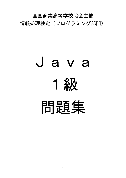全国商業高等学校協会主催 情報処理検定(プログラミング部門)

## Java 1級 問題集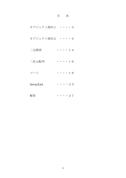## 目 次

| オブジェクト指向1       |  |  | $\cdots$ 3          |  |
|-----------------|--|--|---------------------|--|
| オブジェクト指向2 ・・・・9 |  |  |                     |  |
| 二分探索            |  |  | $\cdots$ $\cdot$ 14 |  |
| 二次元配列           |  |  | $\cdots$ $\cdot$ 16 |  |
| ソート             |  |  | $\cdots$ $\cdot$ 18 |  |
| ArrayList       |  |  | $\cdots$ 25         |  |
| 解答              |  |  | $\cdots$ . 27       |  |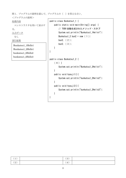```
問1.プログラムの説明を読んで、プログラムの( )を答えなさい。
<プログラムの説明>
処理内容
 コンストラクタを用いて表示す
る。
入力データ
 なし
実行結果
 Bunkatsu1_1Hello1 
 Bunkatsu1_2Hello1 
 bunkatsu1_2Hello2 
 bunkatsu1_2Hello3
                              public class Bunkatsu1_1 { 
                                   public static void main(String[] args) { 
                                      // TODO 自動生成されたメソッド・スタブ
                                     System.out.println("Bunkatsu1_1Hello1");
                                     Bunkatsu1_2 bun2 = new (1);
                                      bun2. ( 2 ); 
                                      bun2. ( 3 ); 
                                   } 
                              } 
                              public class Bunkatsu1_2 {
                                  (4) {
                                     System.out.println("Bunkatsu1_2Hello1");
                                   } 
                                   public void hyouji1(){ 
                                     System.out.println("bunkatsu1_2Hello2");
                                   } 
                                   public void hyouji2(){ 
                                     System.out.println("bunkatsu1_2Hello3");
```
}

| -           |                          |  |
|-------------|--------------------------|--|
| $\sim$<br>∼ | $\overline{\phantom{a}}$ |  |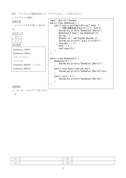問2. プログラムの説明を読んで、プログラムの()を答えなさい。

| <プログラムの説明>                                                                                        |                                                                                                                                                                                                                                                                                                                                                                                     |
|---------------------------------------------------------------------------------------------------|-------------------------------------------------------------------------------------------------------------------------------------------------------------------------------------------------------------------------------------------------------------------------------------------------------------------------------------------------------------------------------------|
| 処理内容<br>コンストラクタを用いて表示す<br>る。<br><u>入力データ</u><br>文字<br>$\times\times$<br>実行結果<br>Bunkatsu1_1Hello1 | import java.util.Scanner;<br>public class Bunkatsu2_1 {<br>public static void main(String[] args) {<br>// TODO 自動生成されたメソッド・スタブ<br>System.out.println("Bunkatsu1_1Hello1");<br>Bunkatsu2_2 bun2 = new Bunkatsu2_2();<br>String $(1)$ ;<br>Scanner $sc = new Scanner(System. in)$ ;<br>System.out.println("入力してください");<br>nyuryoku = $(2)$ ;<br>bun2. $(3)$ ;<br>bun2. hyou $ji2()$ ; |
| Bunkatsu1_2Hello1                                                                                 | }                                                                                                                                                                                                                                                                                                                                                                                   |
| 入力してください                                                                                          | public class Bunkatsu2_2 {                                                                                                                                                                                                                                                                                                                                                          |
| こんにちは                                                                                             | Bunkatsu2 $2() \{$                                                                                                                                                                                                                                                                                                                                                                  |
| bunkatsu1_2Hello2 こんにちは                                                                           | System.out.println("Bunkatsu1_2Hello1");                                                                                                                                                                                                                                                                                                                                            |
| bunkatsu1_2Hello3                                                                                 | public void hyouji1(String nyu){<br>System.out.println("bunkatsu1_2Hello2"+nyu);<br>public void $(4)$ {                                                                                                                                                                                                                                                                             |
|                                                                                                   | System.out.println("bunkatsu1_2Hello3");<br>$\mathcal{E}$                                                                                                                                                                                                                                                                                                                           |
| 処理条件                                                                                              |                                                                                                                                                                                                                                                                                                                                                                                     |
| 1. キーボードからデータを入力す                                                                                 |                                                                                                                                                                                                                                                                                                                                                                                     |

る。

| (1) | $^{\prime}\,3$ ) |  |
|-----|------------------|--|
| (2) | (4)              |  |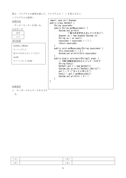問3.プログラムの説明を読んで、プログラムの( )を答えなさい。

```
<プログラムの説明>
処理内容
 ゲッターセッターを用いる。
入力データ
   文字
   ××
実行結果
処理条件
1.キーボードからデータを入力す
 GetSet1_1Hello1
 セットしました
 後ろの文字を入力してください
 world
 セットしました world
                              import java.util.Scanner;
                              public class GetSet1 { 
                                   String nyuuryoku; 
                                   public String getNyuuryoku() { 
                                     System.out.println
                                             ("後ろの文字を入力してください"); 
                                     Scanner sc = new Scanner(System.in);
                                     String se = sc.next();
                                      nyuuryoku = nyuuryoku + ( 1 ); 
                                      return nyuuryoku; 
                                   } 
                                   public void setNyuuryoku(String nyuuryoku) { 
                                     this.nyuuryoku = (2);
                                     System.out.println(this.nyuuryoku);
                                   } 
                                   public static void main(String[] args) { 
                                      // TODO 自動生成されたメソッド・スタブ
                                      String hyouji; 
                                     GetSet1 gs1 1 = new GetSet1();
                                     System.out.println("GetSet1_1Hello1");
                               gs1_1.( 3 )("セットしました"); 
                               hyouji = gs1_1.getNyuuryoku(); 
                                     System.out.println( (4) );
                                  } 
                              }
```
る。

| <b>.</b>                      | $\sqrt{2}$<br>◡ |  |
|-------------------------------|-----------------|--|
| െ<br>$\overline{\phantom{0}}$ | 4               |  |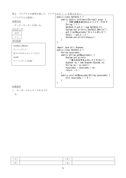| 問4. プログラムの説明を読んで、プログラムの ( ) を答えなさい。 |                                                     |
|-------------------------------------|-----------------------------------------------------|
| <プログラムの説明>                          | public class GetSet2_1 {                            |
| 処理内容                                | public static void main(String[] args) {            |
|                                     | // TODO 自動生成されたメソッド・スタブ<br>String $(1)$ ;           |
| ゲッターセッターを用いる。                       | GetSet2_2 $gs2_2 = new GetSet2_2()$ ;               |
| 入力データ                               | System.out.println("GetSet2_2Hello1");              |
| 文字                                  | gs2_2. setNyuuryoku("セットしました");                     |
| $\times\times$                      | hyou $j_i = gs2_2$ . (2);                           |
|                                     | System.out.println(hyouji);                         |
| 実行結果                                |                                                     |
| GetSet2_2Hello1                     |                                                     |
|                                     | import java.util.Scanner;                           |
| セットしました                             | public class GetSet2_2 {                            |
| 後ろの文字を入力してください                      | String nyuuryoku;<br>public String getNyuuryoku() { |
| world                               | System.out.println                                  |
| セットしました world                       | ("後ろの文字を入力してください");                                 |
|                                     | Scanner $sc = new Scanner(System.in)$ ;             |
|                                     | String $se = sc.next()$ ;                           |
|                                     | nyuuryoku = nyuuryoku + se;<br>return $(3)$ ;       |
|                                     |                                                     |
|                                     | public void setNyuuryoku(String nyuuryoku) {        |
|                                     | this nyuuryoku = $(4)$ ;                            |
|                                     |                                                     |
|                                     |                                                     |
| 処理条件                                |                                                     |

1.キーボードからデータを入力す る。

| (1) | (3) |  |
|-----|-----|--|
| (2) | (4) |  |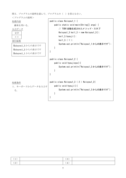問5.プログラムの説明を読んで、プログラムの( )を答えなさい。 <プログラムの説明> 処理内容 継承を用いる。 入力データ 文字 ×× 実行結果 処理条件 1.キーボードからデータを入力す る。 Keisyou1\_3 からの表示です Keisyou1\_2 からの表示です Keisyou1\_1 からの表示です public class Keisyou1\_1 { public static void main(String[] args) { // TODO 自動生成されたメソッド・スタブ Keisyou1\_3 kei1\_3 = new Keisyou1\_3(); kei $1_3$ .hyouji $()$ ; kei1\_3.( 1 ); System.out.println("Keisyou1\_1 からの表示です"); } } public class Keisyou1\_2 { public void hyoujioya(){ System.out.println("Keisyou1\_2 からの表示です"); } } public class Keisyou1\_3 ( 2 ) Keisyou1\_2{ public void hyouji(){ System.out.println("Keisyou1\_3 からの表示です"); } }

| (1) | ◡ |  |
|-----|---|--|
| (2) | 4 |  |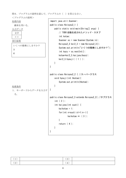問6.プログラムの説明を読んで、プログラムの( )を答えなさい。

```
<プログラムの説明>
処理内容
 継承を用いる。
入力データ
  文字
  ××
実行結果
処理条件
1.キーボードからデータを入力す
  る。
 いくつの階乗にしますか?
 3 
 6
                                import java.util.Scanner;
                               public class Keisyou2_1 { 
                                    public static void main(String[] args) { 
                                        // TODO 自動生成されたメソッド・スタブ
                                        int kotae; 
                                       Scanner sc = new Scanner(System.in);
                                       Keisyou2 3 kei2 3 = new Keisyou2 3();
                                        System.out.println("いくつの階乗にしますか?"); 
                                       int kazu = \text{sc}.\text{nextInt}();
                                       kotae=kei2_3.kaijyou(kazu);
                                       kei2 3.hyouji( ( 1 ) );
                                    } 
                               } 
                               public class Keisyou2_2 { //スーパークラス
                                    void hyouji(int hkotae){ 
                                       System.out.println(hkotae);
                                    } 
                               } 
                               public class Keisyou2_3 extends Keisyou2_2{ //サブクラス
                                    int ( 2 ); 
                                    int kaijyou(int suuti) { 
                                       kaikotae = 1;for(int n=suuti;n>=1; n-){
                                              kaikotae *= (3);
                                       } 
                                        return ( 4 ); 
                                    } 
                               }
```

| (1) | (3)            |  |
|-----|----------------|--|
| (2) | $\overline{4}$ |  |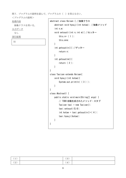問7.プログラムの説明を読んで、プログラムの( )を答えなさい。

<プログラムの説明>

処理内容

抽象クラスを用いる。

入力データ

なし

実行結果

11

```
abstract class Keisan { //抽象クラス
     abstract void hyouji(int kotae); //抽象メソッド
     int n,m; 
     void setsuuti(int n,int m){ //セッター
        this. n= (1);
         this.m=m; 
     } 
     int getsuutin(){ //ゲッター
         return n; 
     } 
     int getsuutim(){ 
         return ( 2 ); 
     } 
} 
class Tasizan extends Keisan{ 
     void hyouji(int kotae){ 
        System.out.println( (3));
     } 
} 
class Abstract1 { 
     public static void main(String[] args) { 
         // TODO 自動生成されたメソッド・スタブ
        Tasizan tasi = new Tasizan();
        tasi.setsuuti(5,6);
        int kotae = tasi.getsuutin() + (4);
         tasi.hyouji(kotae); 
     } 
}
```

| $\sim$ $\sim$ $\sim$<br>$\overline{\phantom{a}}$ | ◡                                                    |  |
|--------------------------------------------------|------------------------------------------------------|--|
| (2)                                              | $\overline{\phantom{0}}$<br>$\overline{\phantom{a}}$ |  |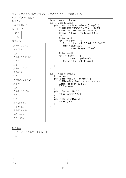問8.プログラムの説明を読んで、プログラムの( )を答えなさい。

| <プログラムの説明>        |                                                                                         |
|-------------------|-----------------------------------------------------------------------------------------|
| 処理内容              | import java.util.Scanner;                                                               |
| 参照を用いる。           | public class Sansyou1_1 {<br>public static void main(String[] args) {                   |
| 入力データ             | // TODO 自動生成されたメソッド・スタブ                                                                 |
| 文字                | Scanner $sc = new Scanner(System.in)$ ;<br>Sansyou1_2 $[]$ san = new Sansyou1_2 $[5]$ ; |
| $\times$ $\times$ | int i;                                                                                  |
|                   | String name;                                                                            |
| 実行結果              | for $(i = 0; i \le 4; i++)$ {<br>System.out.println("入力してください");                        |
| 入力してください          | $name = sc.next()$ ;                                                                    |
| あんどう              | $(1)$ = new Sansyou1_2 (name);                                                          |
| $1_{2}$           | String hyouji;                                                                          |
| 入力してください          | for $(i = 0; i \le 4; i++)$ {                                                           |
| いとう               | $(2) = \text{san}[i]$ . getNamae();<br>System.out.println( $hyouji$ );                  |
| 1 2               | ł                                                                                       |
|                   | $\mathcal{E}$                                                                           |
| 入力してください          | $\mathbf{)}$                                                                            |
| えんどう              | public class Sansyou1_2 {                                                               |
| $1_{-2}$          | String namae;                                                                           |
| 入力してください          | public Sansyou1_2(String namae) {<br>// TODO 自動生成されたメソッド・スタブ                            |
| かとう               | System. out. $println("1_2")$ ;                                                         |
| $1_{-2}$          | $(3)$ = namae;                                                                          |
| 入力してください          | public String tuika(){                                                                  |
| さとう               | return namae+"さん";                                                                      |
| $1_{2}$           | public String getNamae() {                                                              |
| あんどうさん            | return $(4)$ ;                                                                          |
| いとうさん             | $\mathbf{\}$                                                                            |
| えんどうさん            |                                                                                         |
| かとうさん             |                                                                                         |
|                   |                                                                                         |

処理条件

さとうさん

1.キーボードからデータを入力す る。

 $(1)$  (3)  $(2)$  (4)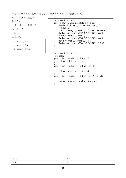問9.プログラムの説明を読んで、プログラムの( )を答えなさい。

```
<プログラムの説明>
処理内容
  オーバーロード用いる。
入力データ
  なし
実行結果
 2つのかけ算 2
 3つのかけ算 6 
 4つのかけ算 24
                                public class OverLoad1_1 {
                                    public static void main(String[]args){
                                        OverLoad1_2 ove1_2 = new OverLoad1_2();
                                         int kekka; 
                                        (1) = ove1_2. jyou(1,2); //オーバーロード
                                        System.out.println("2つのかけ算"+kekka);
                                        kekka = ovel_2. jyou (1, 2, 3);
                                         System.out.println("3つのかけ算"+kekka); 
                                        kekka = ovel_2. jyou (1, 2, 3, 4);
                                         System.out.println("4つのかけ算"+ ( 2 )); 
                                     }
                                } 
                                public class OverLoad1_2{ 
                                     int kotae; 
                                     public int jyou(int s1,int s2){ 
                                        return ( 3 ) = s1 * s2;
                                     } 
                                     public int jyou(int s1,int s2,int s3){ 
                                        return kotae = s1 * s2 * s3;
                                     } 
                                    public int jyou(int s1, int s2, int s3, int s4) {
                                        return kotae = s1 * s2 * s3 * (4);
                                     }
```

| . . | U               |  |
|-----|-----------------|--|
| └   | $\mathbf{\tau}$ |  |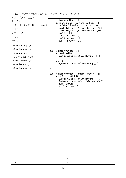```
問 10.プログラムの説明を読んで、プログラムの( )を答えなさい。
<プログラムの説明>
処理内容
 オーバーライドを用いて文字を表
示する。
入力データ
 なし
実行結果
 GoodMorning1_2 
 GoodEvening1_2 
 GoodMorning1_3
 ここから super です
 GoodMorning1_2 
 GoodEvening1_2 
 GoodEvening1_2 
                               public class OverRide1_1 { 
                                    public static void main(String[] args) { 
                                        // TODO 自動生成されたメソッド・スタブ
                                       OverRide1_2 ovr1_2 = new OverRide1_2();
                                       OverRide1_3 ovr1_3 = new OverRide1_3();
                                        ovr1_2.( 1 ); 
                                        ovr1_2.hiruhyouji(); 
                                       ovr1_3.asahyouji();
                                        ovr1_3.hiruhyouji(); 
                                    } 
                               } 
                               public class OverRide1_2 { 
                                    void asahyouji(){ 
                                       System.out.println("GoodMorning1_2");
                                    } 
                                    void ( 2 ){
                                       System.out.println("GoodEvening1_2");
                                    } 
                               } 
                               public class OverRide1_3 extends OverRide1_2{ 
                                    void ( 3 ) { //再定義
                                       System.out.println("GoodMorning1_3");
                                        System.out.println("ここから super です"); 
                                       super.asahyouji();
                                        ( 4 ).hiruhyouji();
```
}

| $\overline{\phantom{a}}$<br>' 1 | 3) |  |
|---------------------------------|----|--|
| $\Omega$<br>₹Z.,                | 4) |  |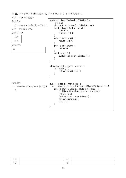問 11.プログラムの説明を読んで、プログラムの( )を答えなさい。



| ∼ | $\overline{\phantom{a}}$ |  |
|---|--------------------------|--|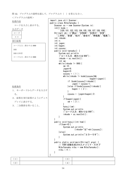問 12.プログラムの説明を読んで、プログラムの( )を答えなさい。

<プログラムの説明> 処理内容 コードを入力し表示する。 入力データ コード ×× 実行結果 処理条件 1. キーボードからデータを入力す る。 2.結果を実行結果のようにディス プレイに表示する。 3.二分探索を用いること。 コード入力:終わりは 999 103 103 は本宮 コード入力:終わりは 999 int inkode; int n; int jogen; int kagen; int cyuuou; int sw; } } } } }else{ } } }

import java.util.Scanner; public class NibuTansaku { Scanner sc = new Scanner (System. in);  $int[]$  kode = {100,101,102,103,104,105,106,107,108,109}; String[] eki ={"郡山","日和田","五百川","本宮", "二本松","安達","松川","金谷川","南福島","福島"}; public void tansaku() { System.out.println ("コード入力:終わりは 999");  $inkode = sc.nextInt()$ ; while(inkode  $!=$  999) {  $sw = 0$ ; jogen=9; kagen=0; cyuuou =  $(1)$ ; while(inkode != kode[cyuuou]&& kagen $\le$ jogen) { if (kode[cyuuou]>inkode){  $jogen = cyuuou-1;$  }else if(kode[cyuuou]<inkode){ kagen =  $(2)$ ; } cyuuou =  $(jogen+kagen)/2$ ;  $if$ (kagen $\ge$ iogen) {  $sw = (3)$ : hyou i i (sw); System.out.println ("コード入力:終わりは 999");  $inkode = sc.nextInt()$ ; public void hyouji(int hsw){ if(hsw==0) $\overline{ }$ System.out.println (inkode+"は"+eki[cyuuou]); System.out.println("エラーです"); public static void main(String[] args) { // TODO 自動生成されたメソッド・スタブ  $N$ ibuTansaku nibu = new NibuTansaku $()$ ; nibu.( 4 ); }

| п.<br>$\mathbf{I}$ | ◡              |  |
|--------------------|----------------|--|
| (2,                | $\overline{4}$ |  |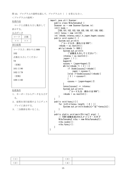問 13.プログラムの説明を読んで、プログラムの( )を答えなさい。

import java.util.Scanner;

public class NibuTansaku2 {

<プログラムの説明> 処理内容 コードと点数を入力し集計して 表示する。 入力データ コード 点数  $x \times | x \times x$ 実行結果 処理条件 1.キーボードからデータを入力す る。 2.結果を実行結果のようにディス コード入力:終わりは 999 102 点数を入力してください 78 (省略) 101 は 90 102 は 78 (省略) 109 は 60

プレイに表示する。

3.二分探索を用いること。

```
Scanner sc = new Scanner (System. in);
   int[] kode =
       {100,101,102,103,104,105,106,107,108,109}; 
    int[] tensu = new int[10];
   int inkode, intensu, soeji, n, jogen, kagen, cyuuou;
    public void syukei() { 
       System.out.println
           ("コード入力:終わりは 999"); 
       inkode = sc.nextInt();
       while(inkode != 999) {
           System.out.println
                ("点数を入力してください"); 
           intensu = sc.nextInt();
           jogen= (1);
            kagen=0; 
           cyuuou = (iogen+kagen)/2;
           while(inkode != (2)) {
                if (kode[cyuuou]>inkode){ 
                   jogen = cyuuou-1; }else if(kode[cyuuou]<inkode){ 
               (3) = cyu u o u + 1; } 
               cyuuou = (iogen+kagen)/2;
 } 
            tensu[cyuuou] += intensu; 
           System.out.println
                  ("コード入力:終わりは 999"); 
           inkode = sc.nextInt();
        } 
    } 
    public void hyouji(){ 
       for (n=0; n \leq t) length; (4) ) {
           System.out.println(kode[n]+"\forall**tensu[n]);
 } 
    } 
    public static void main(String[] args) { 
        // TODO 自動生成されたメソッド・スタブ
       NibuTansaku2 nibu = new NibuTansaku2();
        nibu.syukei(); 
       nibu.hyouji();
    }
```

| (1) | (3)       |  |
|-----|-----------|--|
| (2) | 4)<br>. . |  |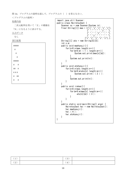問 14.プログラムの説明を読んで、プログラムの( )を答えなさい。

<プログラムの説明>

## 処理内容

二次元配列を用いて「Z」の模様を 「N」になるように表示する。 入力データ

なし

実行結果

| ZZZZZ    |  |
|----------|--|
| Z        |  |
| z        |  |
| z        |  |
| ZZZZZ    |  |
| z z      |  |
| ZZ Z     |  |
| Z Z Z    |  |
| Z ZZ     |  |
| $Z \t Z$ |  |
|          |  |

```
import java.util.Scanner;
public class Hairetsu2ast { 
      Scanner sc = new Scanner(System.in);
      final String[][] mae = [{''z", "z", "z", "z", "z"]},{" "," "," ","z"," "}, 
                                       {m \; n \; n \; n \; n \; n' \; 2'' \; n \; n \; n' \; n'' \; },{m \choose 0} , {m \choose 2} , {m \choose 1} , {m \choose 2} , {m \choose 3} , {m \choose 3} , {m \choose 3} , {m \choose 3} , {m \choose 3} , {m \choose 3} , {m \choose 3} , {m \choose 3} , {m \choose 3} , {m \choose 3} , {m \choose 3} , {m \choose 3} , {m \choose 3} , {m \choose 3} , {m \choose{''z", "z", "z", "z", "z", "z"}, };
     String[] [] ato = new String[5][5];
       int n,m; 
      public void maehyouji(){ 
           for(n=0;n\leq mae.length;n++) {
                 for (m=0; m< (1). length;m++) {
                       System.out.print(mae[n][m]);
 } 
                 System.out.println();
            } 
      } 
      public void atohyouji(){ 
           for(n=0;n<ato.length;n++){
                 for(m=0;m \leq ato[n].length;m++){
                       System.out.print( (2) );
 } 
                 System.out.println();
            } 
       } 
      public void irekae(){ 
           for(n=0;n\leq mae.length;n++){
                 for(m=0;m\leq m\leq n]. length;m++){
                          ato[n][m] = (3);
 } 
            } 
      } 
      public static void main(String[] args) { 
           Hairetsu2ast hai = new Hairetsu2ast();
           hai.maehyouji();
            hai.( 4 ); 
            hai.atohyouji(); 
      } 
}
```

| $\mathbf{r}$ | ച<br>◡                        |  |
|--------------|-------------------------------|--|
| (2,          | ↵<br>$\overline{\phantom{a}}$ |  |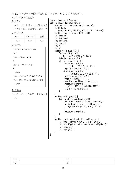問 15.プログラムの説明を読んで、プログラムの( )を答えなさい。

## 処理内容

<プログラムの説明>

グループおよびコードごとに入力 した点数を配列に集計後、表示する。 入力データ

| コード                           | グループ              | 点数                |  |  |  |
|-------------------------------|-------------------|-------------------|--|--|--|
| $\times$ $\times$             | $\times$ $\times$ | $\times$ $\times$ |  |  |  |
| 実行結果                          |                   |                   |  |  |  |
|                               | コード入力:終わりは 999    |                   |  |  |  |
| 105                           |                   |                   |  |  |  |
| グループ入力: 0~9                   |                   |                   |  |  |  |
| $\theta$                      |                   |                   |  |  |  |
| 点数を入力してください                   |                   |                   |  |  |  |
| 67                            |                   |                   |  |  |  |
| (省略)                          |                   |                   |  |  |  |
| グループ 0 は 0 0 0 0 0 67 0 0 0 0 |                   |                   |  |  |  |
| グループ1は000010000000            |                   |                   |  |  |  |
| (省略)                          |                   |                   |  |  |  |

処理条件

1.キーボードからデータを入力す る。

import java.util.Scanner; public class Hairetsu2Syukei { Scanner sc = new Scanner (System. in);  $int[]$  kode = {100,101,102,103,104,105,106,107,108,109};  $int[]$  tensu = new int $[10][10]$ ; int inkode; int ingroup; int intensu; int soeii; int n; int m; public void syukei() { System.out.println ("コード入力:終わりは 999");  $inkode = sc.nextInt()$ ; while(inkode  $!=$  999) { System.out.println ("グループ入力:0~9");  $ingroup = sc.nextInt()$ ; System.out.println ("点数を入力してください");  $intensu = sc.nextInt()$ ; soeji = inkode -  $(1)$ ; tensu[ingroup][soe ji]  $+= (2)$ ; System.out.println ("コード入力:終わりは 999");  $(3) =$ sc.nextInt $()$ ; } } public void hyouji(){ for  $(n=0:n \times t$ ensu. length;  $n++$ ) { System.out.print("グループ"+n+"は"); for  $(m=0,m\text{timesu}[n]$ . length; $m++)$  { System.out.print( $(\check{4})$  +" $\check{?}$ ); } System.out.println(); } } public static void main(String[] args) { // TODO 自動生成されたメソッド・スタブ Hairetsu2Syukei hai = new Hairetsu2Syukei(); hai.syukei(); hai.hyouji $()$ ; } }

|     | റ<br>◡ |  |
|-----|--------|--|
| (2) |        |  |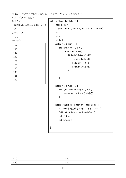問 16.プログラムの説明を読んで、プログラムの( )を答えなさい。

<プログラムの説明> 処理内容

配列 kode の要素を降順にソート する。 入力データ なし 実行結果

| 109 |  |  |
|-----|--|--|
| 108 |  |  |
| 107 |  |  |
| 106 |  |  |
| 105 |  |  |
| 104 |  |  |
| 103 |  |  |
| 102 |  |  |
| 101 |  |  |
| 100 |  |  |
|     |  |  |

```
public class BubbleSort { 
    int[] kode =
       {100,101,102,103,104,105,106,107,108,109}; 
     int n; 
     int m; 
     int taihi; 
     public void sort() { 
        for (n=8; n>=0; (1) )for (m=0; m\leq n; m++) {
                 if(kode[m]<kode[m+1]){
                     tail = kode[m];kode[m] = (2);
                      kode[m+1]=taihi; 
                 } 
             } 
         } 
     } 
     public void hyouji(){ 
        for (n=0;\text{n}{kode. length};(3)) [System.out.println(kode[n]);
         } 
     } 
     public static void main(String[] args) { 
         // TODO 自動生成されたメソッド・スタブ
        BubbleSort bub = new BubbleSort();
         bub.( 4 ); 
        bub.hyouji();
     }
```

| $\perp$ | (3) |  |
|---------|-----|--|
| (2)     | 4   |  |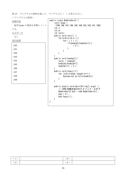問 17.プログラムの説明を読んで、プログラムの( )を答えなさい。

}

<プログラムの説明> 処理内容 配列 kode の要素を昇順にソート

する。 入力データ なし

実行結果

| 100 |  |
|-----|--|
| 101 |  |
| 102 |  |
| 103 |  |
| 104 |  |
| 105 |  |
| 106 |  |
| 107 |  |
| 108 |  |
| 109 |  |
|     |  |

```
public class BubbleSort2 { 
     int[] kode =
      {109,108,107,106,105,104,103,102,101,100}; 
     int n; 
     int m; 
     int taihi; 
     public void sort() { 
        for (n=8; n>=0; n= ) {
            for( ( 1 ) ) if(kode[m]>kode[m+1]){ 
                      (2);
 } 
 } 
         } 
     } 
     public void koukan(){ 
        taihi = kode[m];
         kode[m]=kode[m+1]; 
        kode[m+1] = (3);
     } 
     public void hyouji(){ 
        for (n=0; n\< kode. length; n++) {
            System.out.println(kode[n]);
         } 
     } 
     public static void main(String[] args) { 
         // TODO 自動生成されたメソッド・スタブ
         BubbleSort2 bub = new BubbleSort2(); 
         bub.( 4 ); 
        bub.hyou i i ();
     }
```

| (1) | $\left(3\right)$                           |  |
|-----|--------------------------------------------|--|
| (2) | $\overline{A}$<br>$\overline{\phantom{a}}$ |  |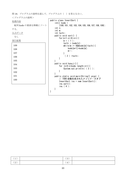問 18.プログラムの説明を読んで、プログラムの( )を答えなさい。

<プログラムの説明>

処理内容

配列 kode の要素を降順にソート する。

入力データ

なし

実行結果

| 109 |  |  |
|-----|--|--|
| 108 |  |  |
| 107 |  |  |
| 106 |  |  |
| 105 |  |  |
| 104 |  |  |
| 103 |  |  |
| 102 |  |  |
| 101 |  |  |
| 100 |  |  |
|     |  |  |

```
public class InsertSort { 
    int[] kode =
          {100,101,102,103,104,105,106,107,108,109}; 
     int n; 
     int m; 
     int taihi; 
     public void sort() { 
        for (n=1; n\leq 9; n++) {
             m = (1);
             tail = kode[n];
             while(m >= 0&&kode[m]\langle \text{tail} \rangle {
                  kode[m+1]=kode[m]; 
                 m--; } 
              (2) =taihi;
         } 
     } 
     public void hyouji(){ 
        for (n=0; n \times kode. length; n++) {
             System.out.println((3));
         } 
     }
     public static void main(String[] args) { 
         // TODO 自動生成されたメソッド・スタブ
          InsertSort ins = new InsertSort(); 
          ins.sort(); 
          ins.( 4 ); 
     } 
}
```

| -        |   |  |
|----------|---|--|
| ( ၇<br>╺ | - |  |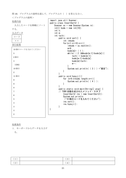問 19.プログラムの説明を読んで、プログラムの( )を答えなさい。

| <プログラムの説明>        |                                                                 |
|-------------------|-----------------------------------------------------------------|
| 処理内容              | import java.util.Scanner;<br>public class InsertSort2 {         |
| 入力したコードを降順にソート    | Scanner $sc = new Scanner(System.in)$ ;                         |
| する。               | $int[]$ kode = new int $[10]$ ;<br>int n;                       |
| 入力データ             | int m;                                                          |
| コード               | int taihi;                                                      |
| $\times$ $\times$ | public void sort() {<br>int inkode;                             |
| 実行結果              | for $(n=1; n\leq 10; n++)$ {                                    |
|                   | $inkode = sc.next Int()$ ;                                      |
| 10個のコードを入れてください   | $m=9$ ;                                                         |
|                   | $kode[m] = (1)$ ;<br>while( $(2)$ &&kode[m-1] $\kappa$ ode[m]){ |
| $\bf 5$           | taihi = $kode[m-1]$ ;                                           |
| 2個目               | $kode[m-1]=kode[m];$                                            |
| $\overline{4}$    | kode[m]=taihi;                                                  |
| (省略)              | $m--;$                                                          |
| 10個目              | System.out.println( $(3)$ ) + "個目");                            |
| $\sqrt{2}$        |                                                                 |
| 11 個目             | public void hyouji(){                                           |
| 9                 | for $(n=0:n \times k$ ode. length; $n++)$ {                     |
|                   | System out println( $(4)$ );                                    |
| $\boldsymbol{9}$  |                                                                 |
| 8                 | public static void main(String[] args) {                        |
| 7                 | // TODO 自動生成されたメソッド・スタブ                                         |
| 6                 | $InsertSort2$ ins = new $InsertSort2()$ ;<br>System.out.println |
| 5                 | ("10個のコードを入れてください");                                            |
| $\overline{4}$    | $ins.sort()$ ;<br>$ins. hyouji()$ ;                             |
| $\sqrt{3}$        |                                                                 |
| 3                 | }                                                               |
| $\boldsymbol{2}$  |                                                                 |
|                   |                                                                 |

処理条件

1.キーボードからデータを入力す る。

|   | ັ       |  |
|---|---------|--|
| ∸ | △<br>л. |  |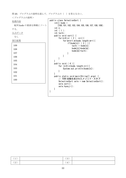問 20.プログラムの説明を読んで、プログラムの( )を答えなさい。

}

<プログラムの説明> 処理内容

配列 kode の要素を降順にソート する。

入力データ

なし

実行結果

| 109 |  |
|-----|--|
| 108 |  |
| 107 |  |
| 106 |  |
| 105 |  |
| 104 |  |
| 103 |  |
| 102 |  |
| 101 |  |
| 100 |  |
|     |  |

```
public class SelectionSort { 
    int[] kode =
       {100,101,102,103,104,105,106,107,108,109}; 
     int n; 
     int ( 1 ); 
     int taihi; 
     public void sort() { 
        for (n=0; n < (2) ; n++) {
            for(m=n+1;m<kode.length;m++){
                if(kode[n]<(3))tail = kode[n];
                    kode[n]=kode[m]; 
                    kode[m]=taihi; 
 } 
             } 
         } 
     } 
     public void ( 4 ){ 
        for (n=0; n\< kode. length; n++) {
            System.out.println(kode[n]);
         } 
     } 
     public static void main(String[] args) { 
         // TODO 自動生成されたメソッド・スタブ
         SelectionSort sele = new SelectionSort(); 
        sele.sort();
        sele.hyouji();
    }
```

| (1)<br>$\sqrt{1}$ | (3)                   |  |
|-------------------|-----------------------|--|
| (2)               | $\overline{4}$<br>. . |  |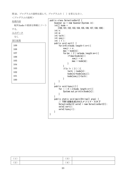問 21.プログラムの説明を読んで、プログラムの( )を答えなさい。

<プログラムの説明> 処理内容 配列 kode の要素を降順にソート する。 入力データ なし

実行結果

| 2213721 |  |  |
|---------|--|--|
| 109     |  |  |
| 108     |  |  |
| 107     |  |  |
| 106     |  |  |
| 105     |  |  |
| 104     |  |  |
| 103     |  |  |
| 102     |  |  |
| 101     |  |  |
| 100     |  |  |
|         |  |  |

```
public class SelectionSort2 { 
    Scanner sc = new Scanner (System. in);
    int[] kode =
       {100,101,102,103,104,105,106,107,108,109}; 
     int n; 
     int m; 
     int taihi; 
     int soeji; 
     int ( 1 ); 
     public void sort() { 
        for(n=0;n \times kode.length-1;n++) {
            soeji = n;
            max = kode[n];
            for(m= ( 2 ); m\&kode. length; m++) {
                if(max<kode[m]){
                    soeji = m;
                    max = kode[m];
 } 
 } 
            if(n != (3)) taihi = kode[n]; 
                 kode[n]=kode[soeji]; 
                 kode[soeji]=taihi; 
 } 
        } 
     } 
     public void hyouji(){ 
        for ( 4 ); n \times kode. length; n++) {
        System.out.println(kode[n]);<br>}
 } 
     } 
     public static void main(String[] args) { 
         // TODO 自動生成されたメソッド・スタブ
        SelectionSort2 sele2 = new SelectionSort2();
        sele2.sort();
        sele2.hyouji();
    }
```

| (1) | ◡      |  |
|-----|--------|--|
| (2) | $4 \,$ |  |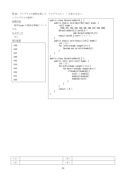問 22.プログラムの説明を読んで、プログラムの( )を答えなさい。 <プログラムの説明> 処理内容 配列 kode の要素を降順にソート する。 入力データ なし 実行結果 109 108 107 106 105 } } } }

```
public class SelectionSort3_1 { 
     public static void main(String[] args) { 
        int[] kode =
          {100,101,102,103,104,105,106,107,108,109}; 
         SelectionSort3_2 sele3_2 =
                       new SelectionSort3_2();
        hyouji(sele3_2.sort( (1));
     public static void hyouji(int[] kode){ 
         int ( 2 ); 
        for (n=0:n \times kode. length;n++) {
            System.out.println(kode[n]);
public class SelectionSort3_2 { 
     public int[] sort(int[] kode) { 
         int ( 3 ); 
        for(n=0;n \le kode.length-1;n++){
            for(m=n+1;m<kode.length;m++){
                 if(kode[n]<kode[m]){
                     taihi = kode[n];
                    kode[n]=kode[m]; 
                    kode[m]=taihi; 
 } 
 } 
         } 
         return ( 4 ); 
     } 
}
```

| (1) | (3                                         |  |
|-----|--------------------------------------------|--|
| (2) | $\overline{A}$<br>$\overline{\phantom{a}}$ |  |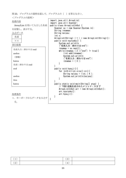問 23.プログラムの説明を読んで、プログラムの( )を答えなさい。 <プログラムの説明> 処理内容 ArrayList を用いて入力した名前 を記憶し、表示する。 入力データ 名前 ×× 実行結果 処理条件 1. キーボードからデータを入力す る。 名前入力:終わりは end andou (省略) katou 名前:終わりは end end andou itou katou import java.util.ArrayList; import java.util.Scanner; public class ArrayListInOut { Scanner  $sc = new Scanner(System.in);$  String innamae; String naiyou; int n;  $ArrayList\langle String \rangle$  ( 1 ) = new  $ArrayList\langle String \rangle()$ ; public void nyuryoku() { System.out.println ("名前入力:終わりは end");  $innama = sc.next()$ ; while(innamae.  $(2)("end")$  != true) { list.add(innamae); System.out.println ("名前入力:終わりは end"); innamae =  $(3)$ ; } } public void hyouji(){ for  $(n=0; n\leq l$  ist. size  $(l; n++)$  { String naiyou =  $list.$  (4); System.out.println(naiyou); } } public static void main(String[] args) { // TODO 自動生成されたメソッド・スタブ  $ArrayListInOut arr = new ArrayListInOut()$ ; arr.nyuryoku(); arr.hyouji(); } }

| $\sim$<br>ᆞᆂ | <b>( Q</b><br>◡ |  |
|--------------|-----------------|--|
| (2)          | (4)             |  |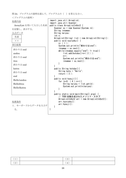問 24.プログラムの説明を読んで、プログラムの( )を答えなさい。 <プログラムの説明> 処理内容 ArrayList を用いて入力した名前 を記憶し、表示する。 入力データ 名前 ×× 実行結果 処理条件 1. キーボードからデータを入力す 終わりは end andou 終わりは end itou 終わりは end katou 終わりは end end Hello1andou Hello2itou Hello3katou import java.util.ArrayList; import java.util.Scanner; public class ArrayListInOut2 { Scanner  $sc = new Scanner(System.in)$ ; String innamae; String naiyou; int n;  $ArrayList\langle String \rangle$  list = new  $ArrayList\langle String \rangle()$ ; public void nyuryoku() {  $n= (1)$ ; System.out.println("終わりは end");  $inname = sc.next()$ ; while(innamae.equals("end")  $!=$  true) {  $list.$  add (kotoba() +n+(2) );  $n++$ : System.out.println("終わりは end");  $inname = sc.next()$ ; } } public String kotoba(){ String  $koto = "He1lo"$ ; return ( 3 ); } public void hyouji(){ for  $(n=0; (4);n++)$  { String naiyou =  $list.get(n)$ ; System.out.println(naiyou); } } public static void main(String[] args) { // TODO 自動生成されたメソッド・スタブ  $ArrayListInOut2 arr = new ArrayListInOut2()$ ; arr.nyuryoku(); arr.hyouji(); }

}

る。

| <b>.</b>   | . ല<br>◡ |  |
|------------|----------|--|
| . <u>.</u> | 4        |  |